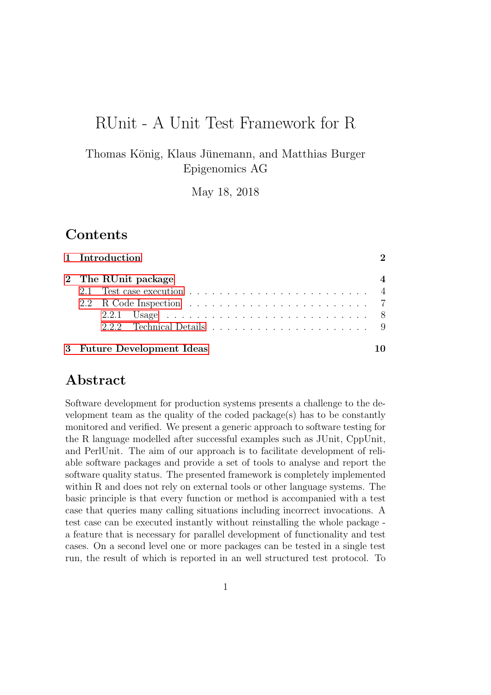# RUnit - A Unit Test Framework for R

Thomas König, Klaus Jünemann, and Matthias Burger Epigenomics AG

May 18, 2018

## Contents

| 1 Introduction             | $\mathcal{D}_{\mathcal{L}}$ |
|----------------------------|-----------------------------|
| 2 The RUnit package        |                             |
|                            |                             |
|                            |                             |
|                            |                             |
|                            |                             |
| 3 Future Development Ideas |                             |

# Abstract

Software development for production systems presents a challenge to the development team as the quality of the coded package(s) has to be constantly monitored and verified. We present a generic approach to software testing for the R language modelled after successful examples such as JUnit, CppUnit, and PerlUnit. The aim of our approach is to facilitate development of reliable software packages and provide a set of tools to analyse and report the software quality status. The presented framework is completely implemented within R and does not rely on external tools or other language systems. The basic principle is that every function or method is accompanied with a test case that queries many calling situations including incorrect invocations. A test case can be executed instantly without reinstalling the whole package a feature that is necessary for parallel development of functionality and test cases. On a second level one or more packages can be tested in a single test run, the result of which is reported in an well structured test protocol. To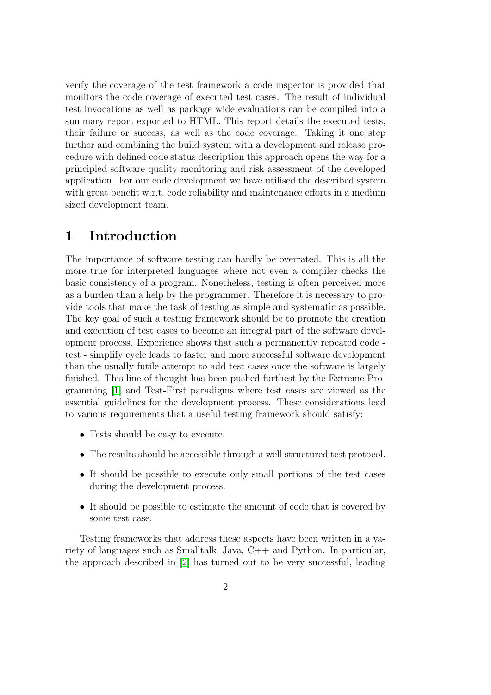verify the coverage of the test framework a code inspector is provided that monitors the code coverage of executed test cases. The result of individual test invocations as well as package wide evaluations can be compiled into a summary report exported to HTML. This report details the executed tests, their failure or success, as well as the code coverage. Taking it one step further and combining the build system with a development and release procedure with defined code status description this approach opens the way for a principled software quality monitoring and risk assessment of the developed application. For our code development we have utilised the described system with great benefit w.r.t. code reliability and maintenance efforts in a medium sized development team.

## <span id="page-1-0"></span>1 Introduction

The importance of software testing can hardly be overrated. This is all the more true for interpreted languages where not even a compiler checks the basic consistency of a program. Nonetheless, testing is often perceived more as a burden than a help by the programmer. Therefore it is necessary to provide tools that make the task of testing as simple and systematic as possible. The key goal of such a testing framework should be to promote the creation and execution of test cases to become an integral part of the software development process. Experience shows that such a permanently repeated code test - simplify cycle leads to faster and more successful software development than the usually futile attempt to add test cases once the software is largely finished. This line of thought has been pushed furthest by the Extreme Programming [\[1\]](#page-10-0) and Test-First paradigms where test cases are viewed as the essential guidelines for the development process. These considerations lead to various requirements that a useful testing framework should satisfy:

- Tests should be easy to execute.
- The results should be accessible through a well structured test protocol.
- It should be possible to execute only small portions of the test cases during the development process.
- It should be possible to estimate the amount of code that is covered by some test case.

Testing frameworks that address these aspects have been written in a variety of languages such as Smalltalk, Java, C++ and Python. In particular, the approach described in [\[2\]](#page-10-1) has turned out to be very successful, leading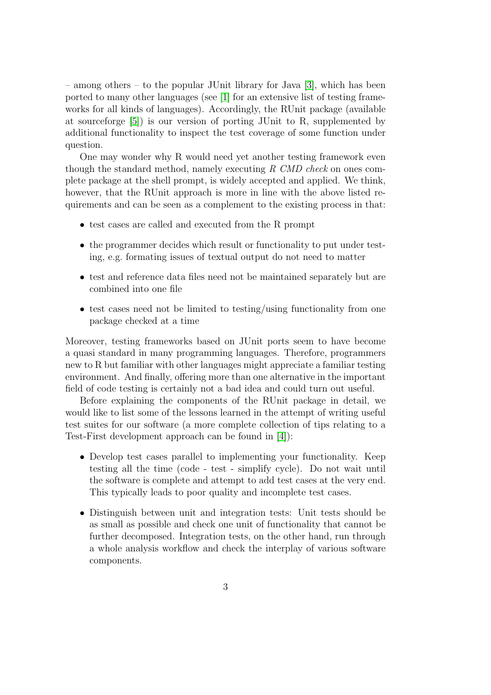– among others – to the popular JUnit library for Java [\[3\]](#page-10-2), which has been ported to many other languages (see [\[1\]](#page-10-0) for an extensive list of testing frameworks for all kinds of languages). Accordingly, the RUnit package (available at sourceforge [\[5\]](#page-10-3)) is our version of porting JUnit to R, supplemented by additional functionality to inspect the test coverage of some function under question.

One may wonder why R would need yet another testing framework even though the standard method, namely executing  $R$  CMD check on ones complete package at the shell prompt, is widely accepted and applied. We think, however, that the RUnit approach is more in line with the above listed requirements and can be seen as a complement to the existing process in that:

- test cases are called and executed from the R prompt
- the programmer decides which result or functionality to put under testing, e.g. formating issues of textual output do not need to matter
- test and reference data files need not be maintained separately but are combined into one file
- test cases need not be limited to testing/using functionality from one package checked at a time

Moreover, testing frameworks based on JUnit ports seem to have become a quasi standard in many programming languages. Therefore, programmers new to R but familiar with other languages might appreciate a familiar testing environment. And finally, offering more than one alternative in the important field of code testing is certainly not a bad idea and could turn out useful.

Before explaining the components of the RUnit package in detail, we would like to list some of the lessons learned in the attempt of writing useful test suites for our software (a more complete collection of tips relating to a Test-First development approach can be found in [\[4\]](#page-10-4)):

- Develop test cases parallel to implementing your functionality. Keep testing all the time (code - test - simplify cycle). Do not wait until the software is complete and attempt to add test cases at the very end. This typically leads to poor quality and incomplete test cases.
- Distinguish between unit and integration tests: Unit tests should be as small as possible and check one unit of functionality that cannot be further decomposed. Integration tests, on the other hand, run through a whole analysis workflow and check the interplay of various software components.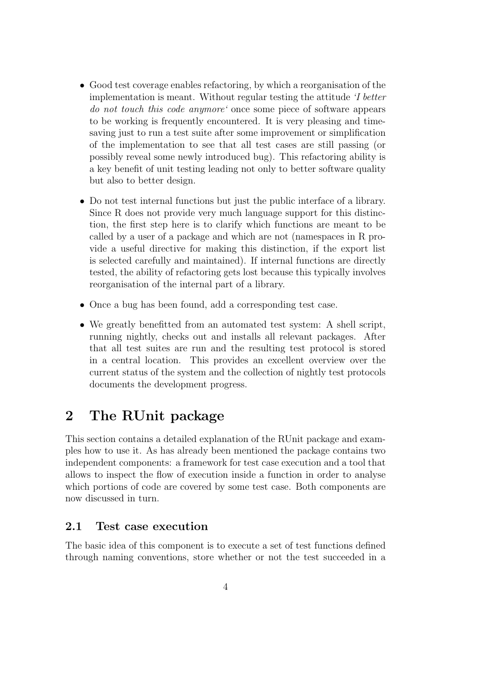- Good test coverage enables refactoring, by which a reorganisation of the implementation is meant. Without regular testing the attitude 'I better do not touch this code anymore' once some piece of software appears to be working is frequently encountered. It is very pleasing and timesaving just to run a test suite after some improvement or simplification of the implementation to see that all test cases are still passing (or possibly reveal some newly introduced bug). This refactoring ability is a key benefit of unit testing leading not only to better software quality but also to better design.
- Do not test internal functions but just the public interface of a library. Since R does not provide very much language support for this distinction, the first step here is to clarify which functions are meant to be called by a user of a package and which are not (namespaces in R provide a useful directive for making this distinction, if the export list is selected carefully and maintained). If internal functions are directly tested, the ability of refactoring gets lost because this typically involves reorganisation of the internal part of a library.
- Once a bug has been found, add a corresponding test case.
- We greatly benefitted from an automated test system: A shell script, running nightly, checks out and installs all relevant packages. After that all test suites are run and the resulting test protocol is stored in a central location. This provides an excellent overview over the current status of the system and the collection of nightly test protocols documents the development progress.

# <span id="page-3-0"></span>2 The RUnit package

This section contains a detailed explanation of the RUnit package and examples how to use it. As has already been mentioned the package contains two independent components: a framework for test case execution and a tool that allows to inspect the flow of execution inside a function in order to analyse which portions of code are covered by some test case. Both components are now discussed in turn.

### <span id="page-3-1"></span>2.1 Test case execution

The basic idea of this component is to execute a set of test functions defined through naming conventions, store whether or not the test succeeded in a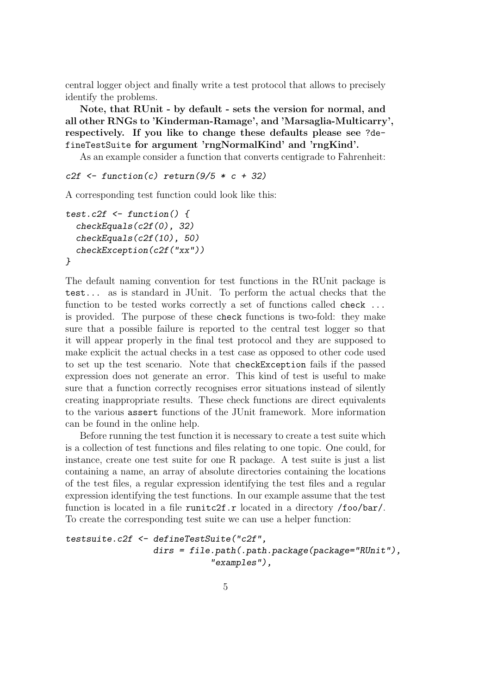central logger object and finally write a test protocol that allows to precisely identify the problems.

Note, that RUnit - by default - sets the version for normal, and all other RNGs to 'Kinderman-Ramage', and 'Marsaglia-Multicarry', respectively. If you like to change these defaults please see ?defineTestSuite for argument 'rngNormalKind' and 'rngKind'.

As an example consider a function that converts centigrade to Fahrenheit:

```
c2f \leftarrow function(c) return(9/5 * c + 32)
```
A corresponding test function could look like this:

```
test.c2f \le function() {
  checkEquals(c2f(0), 32)
  checkEquals(c2f(10), 50)
  checkException(c2f("xx"))
}
```
The default naming convention for test functions in the RUnit package is test... as is standard in JUnit. To perform the actual checks that the function to be tested works correctly a set of functions called check ... is provided. The purpose of these check functions is two-fold: they make sure that a possible failure is reported to the central test logger so that it will appear properly in the final test protocol and they are supposed to make explicit the actual checks in a test case as opposed to other code used to set up the test scenario. Note that checkException fails if the passed expression does not generate an error. This kind of test is useful to make sure that a function correctly recognises error situations instead of silently creating inappropriate results. These check functions are direct equivalents to the various assert functions of the JUnit framework. More information can be found in the online help.

Before running the test function it is necessary to create a test suite which is a collection of test functions and files relating to one topic. One could, for instance, create one test suite for one R package. A test suite is just a list containing a name, an array of absolute directories containing the locations of the test files, a regular expression identifying the test files and a regular expression identifying the test functions. In our example assume that the test function is located in a file runitc2f.r located in a directory /foo/bar/. To create the corresponding test suite we can use a helper function:

```
testsuite.c2f <- defineTestSuite("c2f",
                 dirs = file.path(.path.package(package="RUnit"),
                            "examples"),
```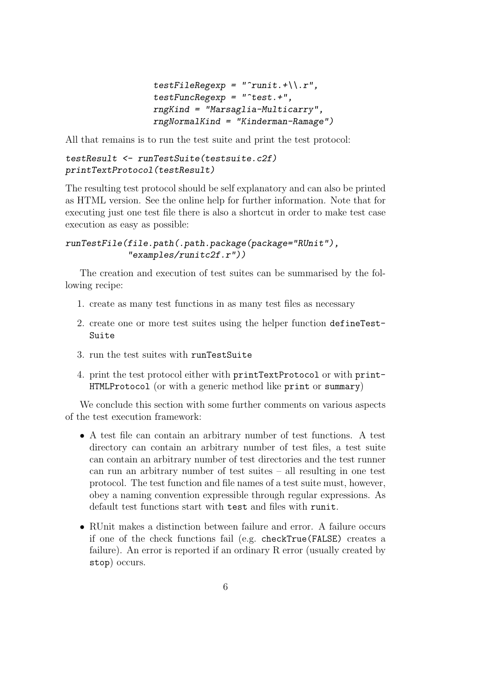```
testFileRegexp = "runit. + \\\}.r",testFuncRegexp = "test. +",rngKind = "Marsaglia-Multicarry",
rngNormalKind = "Kinderman-Ramage")
```
All that remains is to run the test suite and print the test protocol:

```
testResult <- runTestSuite(testsuite.c2f)
printTextProtocol(testResult)
```
The resulting test protocol should be self explanatory and can also be printed as HTML version. See the online help for further information. Note that for executing just one test file there is also a shortcut in order to make test case execution as easy as possible:

```
runTestFile(file.path(.path.package(package="RUnit"),
            "examples/runitc2f.r"))
```
The creation and execution of test suites can be summarised by the following recipe:

- 1. create as many test functions in as many test files as necessary
- 2. create one or more test suites using the helper function defineTest-Suite
- 3. run the test suites with runTestSuite
- 4. print the test protocol either with printTextProtocol or with print-HTMLProtocol (or with a generic method like print or summary)

We conclude this section with some further comments on various aspects of the test execution framework:

- A test file can contain an arbitrary number of test functions. A test directory can contain an arbitrary number of test files, a test suite can contain an arbitrary number of test directories and the test runner can run an arbitrary number of test suites – all resulting in one test protocol. The test function and file names of a test suite must, however, obey a naming convention expressible through regular expressions. As default test functions start with test and files with runit.
- RUnit makes a distinction between failure and error. A failure occurs if one of the check functions fail (e.g. checkTrue(FALSE) creates a failure). An error is reported if an ordinary R error (usually created by stop) occurs.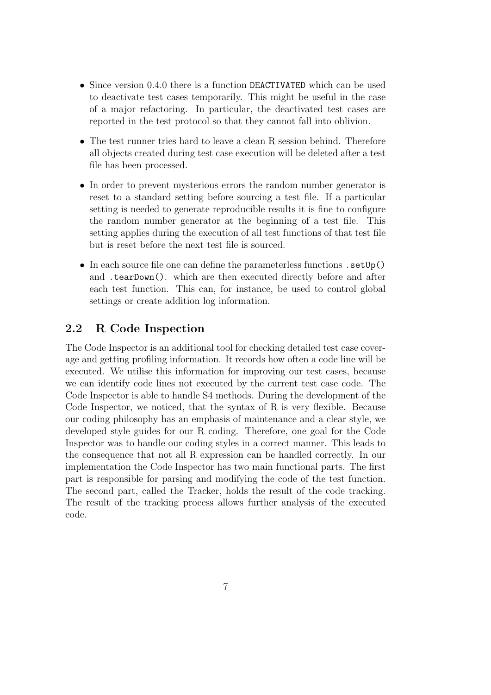- Since version 0.4.0 there is a function DEACTIVATED which can be used to deactivate test cases temporarily. This might be useful in the case of a major refactoring. In particular, the deactivated test cases are reported in the test protocol so that they cannot fall into oblivion.
- The test runner tries hard to leave a clean R session behind. Therefore all objects created during test case execution will be deleted after a test file has been processed.
- In order to prevent mysterious errors the random number generator is reset to a standard setting before sourcing a test file. If a particular setting is needed to generate reproducible results it is fine to configure the random number generator at the beginning of a test file. This setting applies during the execution of all test functions of that test file but is reset before the next test file is sourced.
- In each source file one can define the parameterless functions . setUp() and .tearDown(). which are then executed directly before and after each test function. This can, for instance, be used to control global settings or create addition log information.

### <span id="page-6-0"></span>2.2 R Code Inspection

The Code Inspector is an additional tool for checking detailed test case coverage and getting profiling information. It records how often a code line will be executed. We utilise this information for improving our test cases, because we can identify code lines not executed by the current test case code. The Code Inspector is able to handle S4 methods. During the development of the Code Inspector, we noticed, that the syntax of R is very flexible. Because our coding philosophy has an emphasis of maintenance and a clear style, we developed style guides for our R coding. Therefore, one goal for the Code Inspector was to handle our coding styles in a correct manner. This leads to the consequence that not all R expression can be handled correctly. In our implementation the Code Inspector has two main functional parts. The first part is responsible for parsing and modifying the code of the test function. The second part, called the Tracker, holds the result of the code tracking. The result of the tracking process allows further analysis of the executed code.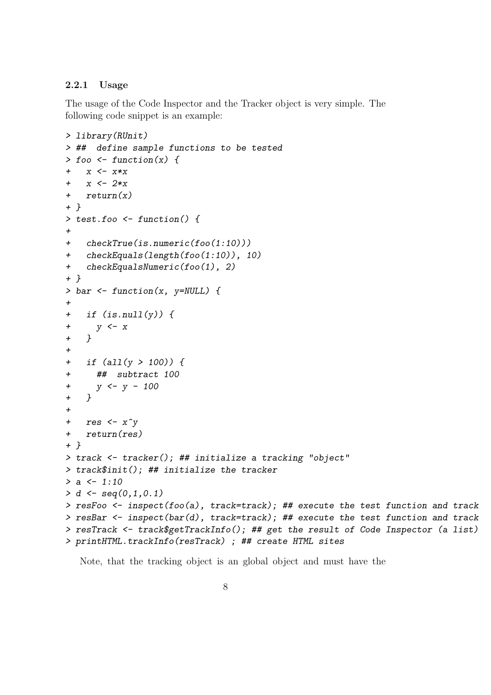#### <span id="page-7-0"></span>2.2.1 Usage

The usage of the Code Inspector and the Tracker object is very simple. The following code snippet is an example:

```
> library(RUnit)
> ## define sample functions to be tested
> foo \le function(x) {
+ x \leftarrow x * xx \le -2*x+ return(x)
+ }
> test.foo <- function() {
+
+ checkTrue(is.numeric(foo(1:10)))
+ checkEquals(length(foo(1:10)), 10)
+ checkEqualsNumeric(foo(1), 2)
+ }
> bar <- function(x, y=NULL) {
+
+ if (is.null(y)) {
+ y \leftarrow x+ }
+
+ if (all(y > 100)) {
+ ## subtract 100
+ y \le - y - 100+ }
+
+ res \leftarrow x^y
+ return(res)
+ }
> track <- tracker(); ## initialize a tracking "object"
> track$init(); ## initialize the tracker
> a < -1:10> d \leq - \text{seq}(0,1,0.1)> resFoo <- inspect(foo(a), track=track); ## execute the test function and track
> resBar <- inspect(bar(d), track=track); ## execute the test function and track
> resTrack <- track$getTrackInfo(); ## get the result of Code Inspector (a list)
> printHTML.trackInfo(resTrack) ; ## create HTML sites
```
Note, that the tracking object is an global object and must have the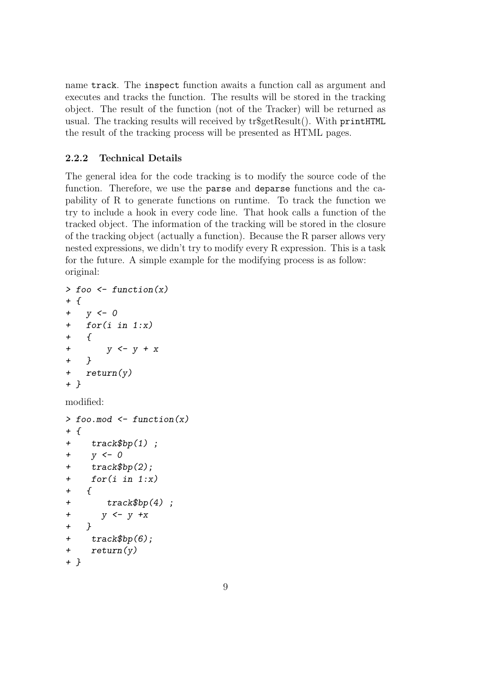name track. The inspect function awaits a function call as argument and executes and tracks the function. The results will be stored in the tracking object. The result of the function (not of the Tracker) will be returned as usual. The tracking results will received by tr\$getResult(). With printHTML the result of the tracking process will be presented as HTML pages.

### <span id="page-8-0"></span>2.2.2 Technical Details

The general idea for the code tracking is to modify the source code of the function. Therefore, we use the parse and deparse functions and the capability of R to generate functions on runtime. To track the function we try to include a hook in every code line. That hook calls a function of the tracked object. The information of the tracking will be stored in the closure of the tracking object (actually a function). Because the R parser allows very nested expressions, we didn't try to modify every R expression. This is a task for the future. A simple example for the modifying process is as follow: original:

```
> foo \leq function(x)+ {
+ y <- 0
+ for(i in 1:x)
+ {
+ y \le y + x+ }
+ return(y)
+ }
modified:
> foo.mod \leq function(x)
+ {
+ track$bp(1) ;
+ y \leftarrow 0+ track$bp(2);
+ for(i in 1:x)
+ {
+ track$bp(4) ;
+ y \leftarrow y + x+ }
+ track$bp(6);
+ return(y)
+ }
```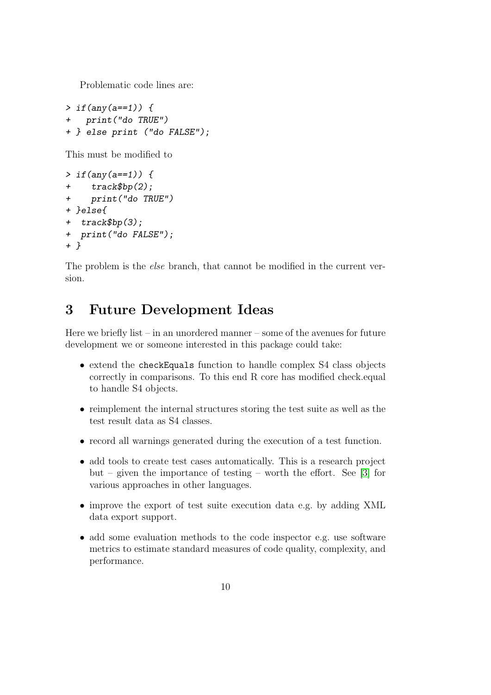Problematic code lines are:

 $> if(any(a==1))$  { + print("do TRUE") + } else print ("do FALSE");

This must be modified to

```
> if(any(a==1)) {
+ track$bp(2);
+ print("do TRUE")
+ }else{
+ track$bp(3);
+ print("do FALSE");
+ }
```
The problem is the *else* branch, that cannot be modified in the current version.

## <span id="page-9-0"></span>3 Future Development Ideas

Here we briefly list – in an unordered manner – some of the avenues for future development we or someone interested in this package could take:

- extend the checkEquals function to handle complex S4 class objects correctly in comparisons. To this end R core has modified check.equal to handle S4 objects.
- reimplement the internal structures storing the test suite as well as the test result data as S4 classes.
- record all warnings generated during the execution of a test function.
- add tools to create test cases automatically. This is a research project but – given the importance of testing – worth the effort. See [\[3\]](#page-10-2) for various approaches in other languages.
- improve the export of test suite execution data e.g. by adding XML data export support.
- add some evaluation methods to the code inspector e.g. use software metrics to estimate standard measures of code quality, complexity, and performance.